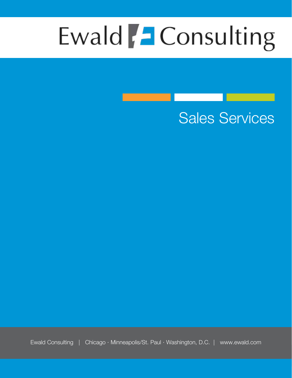# Ewald **/ 2** Consulting

## Sales Services

Ewald Consulting | Chicago · Minneapolis/St. Paul · Washington, D.C. | www.ewald.com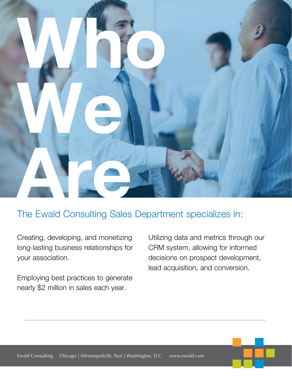

Creating, developing, and monetizing long-lasting business relationships for your association.

Employing best practices to generate nearly \$2 million in sales each year.

Utilizing data and metrics through our CRM system, allowing for informed decisions on prospect development, lead acquisition, and conversion.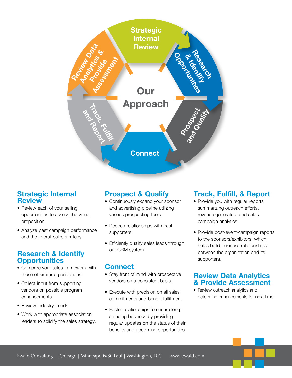

#### **Strategic Internal Review**

- Review each of your selling opportunities to assess the value proposition.
- Analyze past campaign performance and the overall sales strategy.

#### **Research & Identify Opportunities**

- Compare your sales framework with those of similar organizations
- Collect input from supporting vendors on possible program enhancements
- Review industry trends.
- Work with appropriate association leaders to solidify the sales strategy.

#### **Prospect & Qualify**

- Continuously expand your sponsor and advertising pipeline utilizing various prospecting tools.
- Deepen relationships with past supporters
- Efficiently qualify sales leads through our CRM system.

#### **Connect**

- Stay front of mind with prospective vendors on a consistent basis.
- Execute with precision on all sales commitments and benefit fulfillment.
- Foster relationships to ensure longstanding business by providing regular updates on the status of their benefits and upcoming opportunities.

#### **Track, Fulfill, & Report**

- Provide you with regular reports summarizing outreach efforts, revenue generated, and sales campaign analytics.
- Provide post-event/campaign reports to the sponsors/exhibitors; which helps build business relationships between the organization and its supporters.

#### **Review Data Analytics & Provide Assessment**

• Review outreach analytics and determine enhancements for next time.